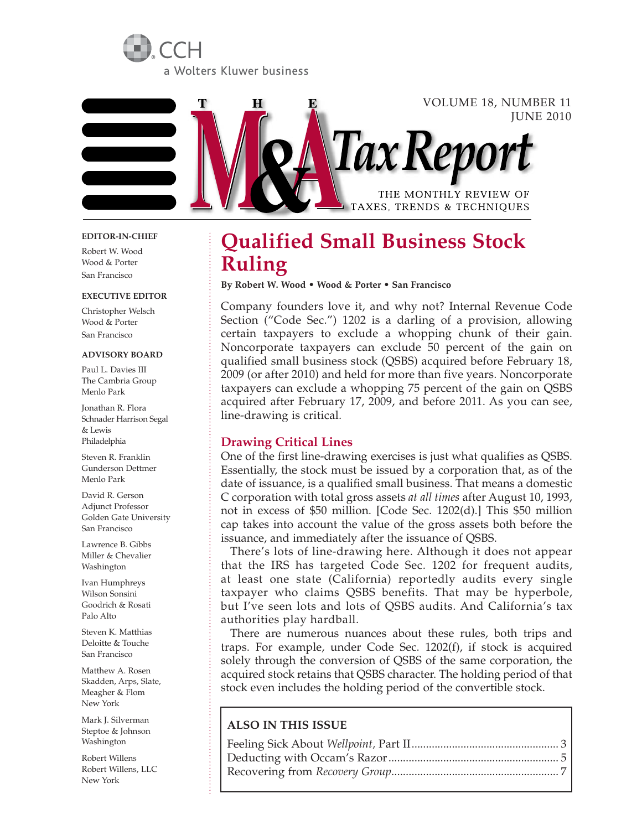



#### **EDITOR-IN-CHIEF**

Robert W. Wood Wood & Porter San Francisco

#### **EXECUTIVE EDITOR**

Christopher Welsch Wood & Porter San Francisco

#### **ADVISORY BOARD**

Paul L. Davies III The Cambria Group Menlo Park

Jonathan R. Flora Schnader Harrison Segal & Lewis Philadelphia

Steven R. Franklin Gunderson Dettmer Menlo Park

David R. Gerson Adjunct Professor Golden Gate University San Francisco

Lawrence B. Gibbs Miller & Chevalier Washington

Ivan Humphreys Wilson Sonsini Goodrich & Rosati Palo Alto

Steven K. Matthias Deloitte & Touche San Francisco

Matthew A. Rosen Skadden, Arps, Slate, Meagher & Flom New York

Mark J. Silverman Steptoe & Johnson Washington

Robert Willens Robert Willens, LLC New York

# **Qualified Small Business Stock Ruling**

**By Robert W. Wood • Wood & Porter • San Francisco**

Company founders love it, and why not? Internal Revenue Code Section ("Code Sec.") 1202 is a darling of a provision, allowing certain taxpayers to exclude a whopping chunk of their gain. Noncorporate taxpayers can exclude 50 percent of the gain on qualified small business stock (QSBS) acquired before February 18, 2009 (or after 2010) and held for more than five years. Noncorporate taxpayers can exclude a whopping 75 percent of the gain on QSBS acquired after February 17, 2009, and before 2011. As you can see, line-drawing is critical.

# **Drawing Critical Lines**

One of the first line-drawing exercises is just what qualifies as QSBS. Essentially, the stock must be issued by a corporation that, as of the date of issuance, is a qualified small business. That means a domestic C corporation with total gross assets *at all times* after August 10, 1993, not in excess of \$50 million. [Code Sec. 1202(d).] This \$50 million cap takes into account the value of the gross assets both before the issuance, and immediately after the issuance of QSBS.

There's lots of line-drawing here. Although it does not appear that the IRS has targeted Code Sec. 1202 for frequent audits, at least one state (California) reportedly audits every single taxpayer who claims QSBS benefits. That may be hyperbole, but I've seen lots and lots of QSBS audits. And California's tax authorities play hardball.

There are numerous nuances about these rules, both trips and traps. For example, under Code Sec. 1202(f), if stock is acquired solely through the conversion of QSBS of the same corporation, the acquired stock retains that QSBS character. The holding period of that stock even includes the holding period of the convertible stock.

## **ALSO IN THIS ISSUE**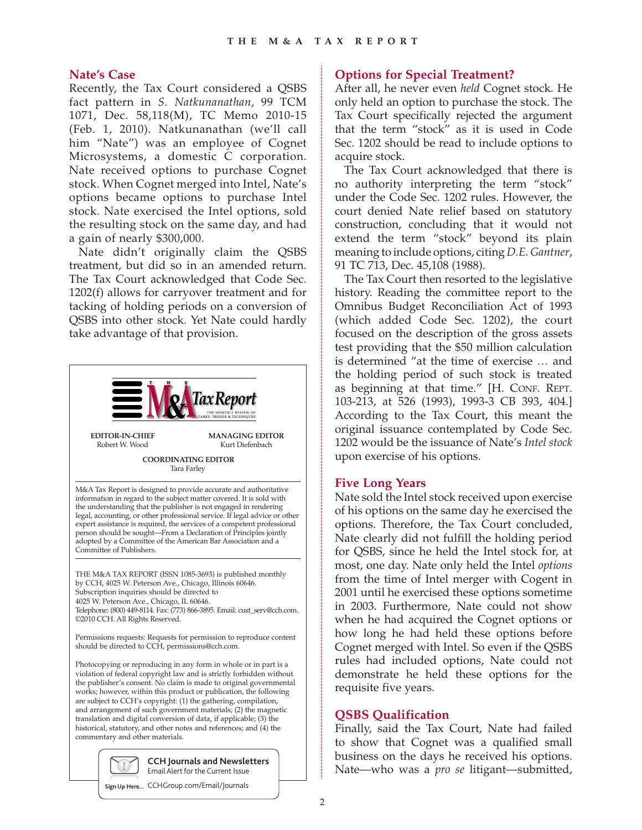## **Nate's Case**

Recently, the Tax Court considered a QSBS fact pattern in *S. Natkunanathan*, 99 TCM 1071, Dec. 58,118(M), TC Memo 2010-15 (Feb. 1, 2010). Natkunanathan (we'll call him "Nate") was an employee of Cognet Microsystems, a domestic C corporation. Nate received options to purchase Cognet stock. When Cognet merged into Intel, Nate's options became options to purchase Intel stock. Nate exercised the Intel options, sold the resulting stock on the same day, and had a gain of nearly \$300,000.

Nate didn't originally claim the QSBS treatment, but did so in an amended return. The Tax Court acknowledged that Code Sec. 1202(f) allows for carryover treatment and for tacking of holding periods on a conversion of QSBS into other stock. Yet Nate could hardly take advantage of that provision.



4025 W. Peterson Ave., Chicago, IL 60646.

Telephone: (800) 449-8114. Fax: (773) 866-3895. Email: cust\_serv@cch.com. ©2010 CCH. All Rights Reserved.

Permissions requests: Requests for permission to reproduce content should be directed to CCH, permissions@cch.com.

Photocopying or reproducing in any form in whole or in part is a violation of federal copyright law and is strictly forbidden without the publisher's consent. No claim is made to original governmental works; however, within this product or publication, the following are subject to CCH's copyright: (1) the gathering, compilation, and arrangement of such government materials; (2) the magnetic translation and digital conversion of data, if applicable; (3) the historical, statutory, and other notes and references; and (4) the commentary and other materials.



**CCH Journals and Newsletters** Email Alert for the Current Issue

**Sign Up Here...** CCHGroup.com/Email/Journals

# **Options for Special Treatment?**

After all, he never even *held* Cognet stock. He only held an option to purchase the stock. The Tax Court specifically rejected the argument that the term "stock" as it is used in Code Sec. 1202 should be read to include options to acquire stock.

The Tax Court acknowledged that there is no authority interpreting the term "stock" under the Code Sec. 1202 rules. However, the court denied Nate relief based on statutory construction, concluding that it would not extend the term "stock" beyond its plain meaning to include options, citing *D.E. Gantner*, 91 TC 713, Dec. 45,108 (1988).

The Tax Court then resorted to the legislative history. Reading the committee report to the Omnibus Budget Reconciliation Act of 1993 (which added Code Sec. 1202), the court focused on the description of the gross assets test providing that the \$50 million calculation is determined "at the time of exercise … and the holding period of such stock is treated as beginning at that time." [H. CONF. REPT. 103-213, at 526 (1993), 1993-3 CB 393, 404.] According to the Tax Court, this meant the original issuance contemplated by Code Sec. 1202 would be the issuance of Nate's *Intel stock* upon exercise of his options.

### **Five Long Years**

Nate sold the Intel stock received upon exercise of his options on the same day he exercised the options. Therefore, the Tax Court concluded, Nate clearly did not fulfill the holding period for QSBS, since he held the Intel stock for, at most, one day. Nate only held the Intel *options* from the time of Intel merger with Cogent in 2001 until he exercised these options sometime in 2003. Furthermore, Nate could not show when he had acquired the Cognet options or how long he had held these options before Cognet merged with Intel. So even if the QSBS rules had included options, Nate could not demonstrate he held these options for the requisite five years.

### **QSBS Qualification**

Finally, said the Tax Court, Nate had failed to show that Cognet was a qualified small business on the days he received his options. Nate—who was a *pro se* litigant—submitted,